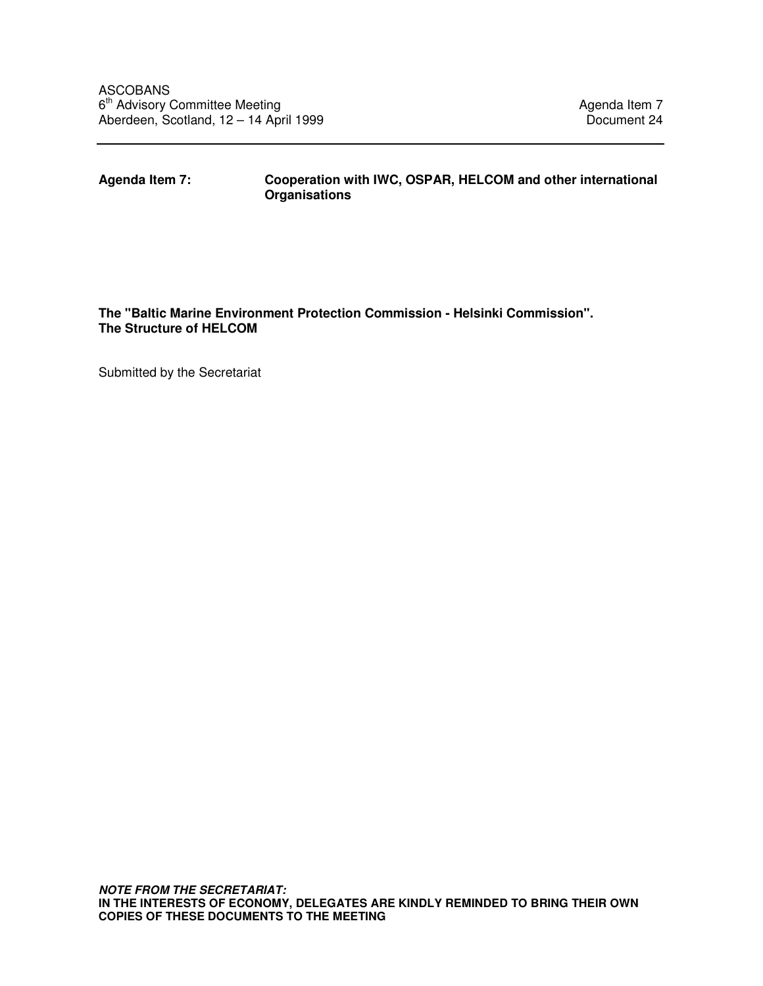**Agenda Item 7: Cooperation with IWC, OSPAR, HELCOM and other international Organisations** 

## **The "Baltic Marine Environment Protection Commission - Helsinki Commission". The Structure of HELCOM**

Submitted by the Secretariat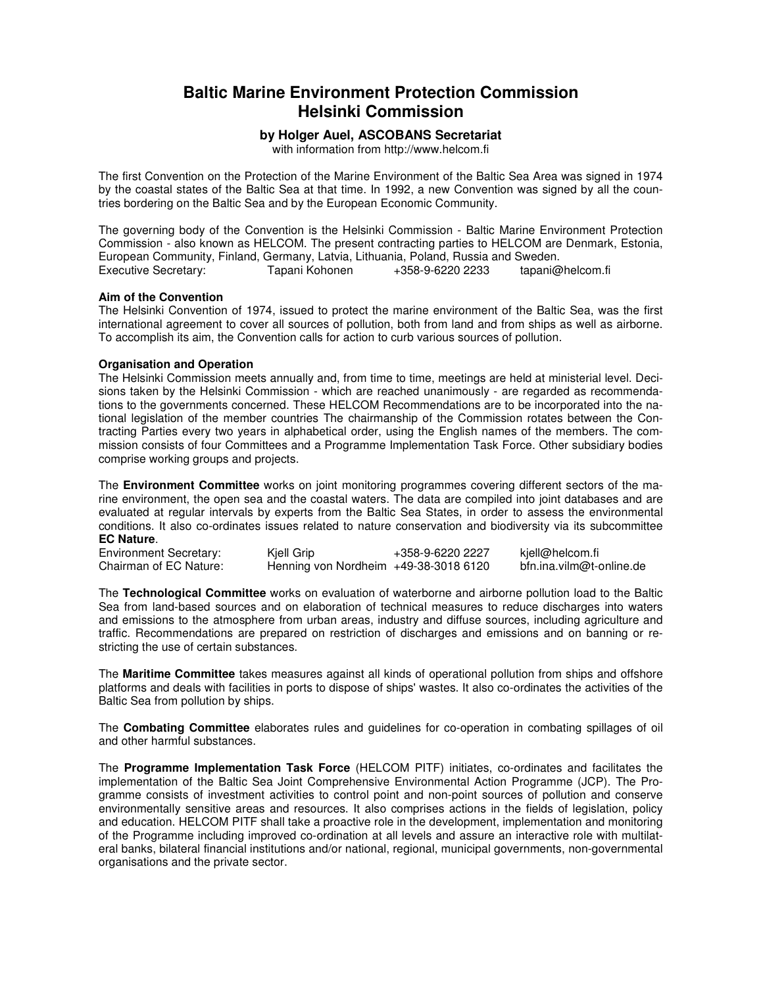# **Baltic Marine Environment Protection Commission Helsinki Commission**

### **by Holger Auel, ASCOBANS Secretariat**

with information from http://www.helcom.fi

The first Convention on the Protection of the Marine Environment of the Baltic Sea Area was signed in 1974 by the coastal states of the Baltic Sea at that time. In 1992, a new Convention was signed by all the countries bordering on the Baltic Sea and by the European Economic Community.

The governing body of the Convention is the Helsinki Commission - Baltic Marine Environment Protection Commission - also known as HELCOM. The present contracting parties to HELCOM are Denmark, Estonia, European Community, Finland, Germany, Latvia, Lithuania, Poland, Russia and Sweden. Executive Secretary: Tapani Kohonen +358-9-6220 2233 tapani@helcom.fi

#### **Aim of the Convention**

The Helsinki Convention of 1974, issued to protect the marine environment of the Baltic Sea, was the first international agreement to cover all sources of pollution, both from land and from ships as well as airborne. To accomplish its aim, the Convention calls for action to curb various sources of pollution.

#### **Organisation and Operation**

The Helsinki Commission meets annually and, from time to time, meetings are held at ministerial level. Decisions taken by the Helsinki Commission - which are reached unanimously - are regarded as recommendations to the governments concerned. These HELCOM Recommendations are to be incorporated into the national legislation of the member countries The chairmanship of the Commission rotates between the Contracting Parties every two years in alphabetical order, using the English names of the members. The commission consists of four Committees and a Programme Implementation Task Force. Other subsidiary bodies comprise working groups and projects.

The **Environment Committee** works on joint monitoring programmes covering different sectors of the marine environment, the open sea and the coastal waters. The data are compiled into joint databases and are evaluated at regular intervals by experts from the Baltic Sea States, in order to assess the environmental conditions. It also co-ordinates issues related to nature conservation and biodiversity via its subcommittee **EC Nature**.

| <b>Environment Secretary:</b> | Kjell Grip                             | +358-9-6220 2227 | kjell@helcom.fi          |
|-------------------------------|----------------------------------------|------------------|--------------------------|
| Chairman of EC Nature:        | Henning von Nordheim $+49-38-30186120$ |                  | bfn.ina.vilm@t-online.de |

The **Technological Committee** works on evaluation of waterborne and airborne pollution load to the Baltic Sea from land-based sources and on elaboration of technical measures to reduce discharges into waters and emissions to the atmosphere from urban areas, industry and diffuse sources, including agriculture and traffic. Recommendations are prepared on restriction of discharges and emissions and on banning or restricting the use of certain substances.

The **Maritime Committee** takes measures against all kinds of operational pollution from ships and offshore platforms and deals with facilities in ports to dispose of ships' wastes. It also co-ordinates the activities of the Baltic Sea from pollution by ships.

The **Combating Committee** elaborates rules and guidelines for co-operation in combating spillages of oil and other harmful substances.

The **Programme Implementation Task Force** (HELCOM PITF) initiates, co-ordinates and facilitates the implementation of the Baltic Sea Joint Comprehensive Environmental Action Programme (JCP). The Programme consists of investment activities to control point and non-point sources of pollution and conserve environmentally sensitive areas and resources. It also comprises actions in the fields of legislation, policy and education. HELCOM PITF shall take a proactive role in the development, implementation and monitoring of the Programme including improved co-ordination at all levels and assure an interactive role with multilateral banks, bilateral financial institutions and/or national, regional, municipal governments, non-governmental organisations and the private sector.